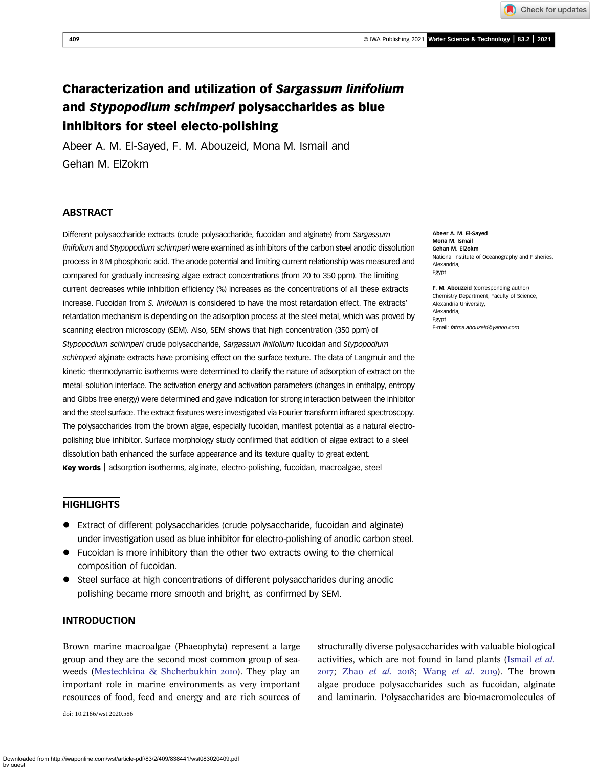409 © IWA Publishing 2021 Water Science & Technology | 83.2 | 2021

Check for updates

# Characterization and utilization of Sargassum linifolium and Stypopodium schimperi polysaccharides as blue inhibitors for steel electo-polishing

Abeer A. M. El-Sayed, F. M. Abouzeid, Mona M. Ismail and Gehan M. ElZokm

# **ABSTRACT**

Different polysaccharide extracts (crude polysaccharide, fucoidan and alginate) from Sargassum linifolium and Stypopodium schimperi were examined as inhibitors of the carbon steel anodic dissolution process in 8 M phosphoric acid. The anode potential and limiting current relationship was measured and compared for gradually increasing algae extract concentrations (from 20 to 350 ppm). The limiting current decreases while inhibition efficiency (%) increases as the concentrations of all these extracts increase. Fucoidan from S. linifolium is considered to have the most retardation effect. The extracts' retardation mechanism is depending on the adsorption process at the steel metal, which was proved by scanning electron microscopy (SEM). Also, SEM shows that high concentration (350 ppm) of Stypopodium schimperi crude polysaccharide, Sargassum linifolium fucoidan and Stypopodium schimperi alginate extracts have promising effect on the surface texture. The data of Langmuir and the kinetic–thermodynamic isotherms were determined to clarify the nature of adsorption of extract on the metal–solution interface. The activation energy and activation parameters (changes in enthalpy, entropy and Gibbs free energy) were determined and gave indication for strong interaction between the inhibitor and the steel surface. The extract features were investigated via Fourier transform infrared spectroscopy. The polysaccharides from the brown algae, especially fucoidan, manifest potential as a natural electropolishing blue inhibitor. Surface morphology study confirmed that addition of algae extract to a steel dissolution bath enhanced the surface appearance and its texture quality to great extent. Key words adsorption isotherms, alginate, electro-polishing, fucoidan, macroalgae, steel

### **HIGHLIGHTS**

- Extract of different polysaccharides (crude polysaccharide, fucoidan and alginate) under investigation used as blue inhibitor for electro-polishing of anodic carbon steel.
- Fucoidan is more inhibitory than the other two extracts owing to the chemical composition of fucoidan.
- Steel surface at high concentrations of different polysaccharides during anodic polishing became more smooth and bright, as confirmed by SEM.

# INTRODUCTION

Brown marine macroalgae (Phaeophyta) represent a large group and they are the second most common group of sea-weeds [\(Mestechkina & Shcherbukhin](#page-15-0) 2010). They play an important role in marine environments as very important resources of food, feed and energy and are rich sources of

doi: 10.2166/wst.2020.586

structurally diverse polysaccharides with valuable biological activities, which are not found in land plants ([Ismail](#page-14-0) et al.  $2017$ ; Zhao [et al.](#page-15-0)  $2018$ ; [Wang](#page-15-0) et al.  $2019$ ). The brown algae produce polysaccharides such as fucoidan, alginate and laminarin. Polysaccharides are bio-macromolecules of

Abeer A. M. El-Sayed Mona M. Ismail Gehan M. ElZokm National Institute of Oceanography and Fisheries, Alexandria, Egypt

F. M. Abouzeid (corresponding author) Chemistry Department, Faculty of Science, Alexandria University, Alexandria, Egypt E-mail: [fatma.abouzeid@yahoo.com](mailto:fatma.abouzeid@yahoo.com)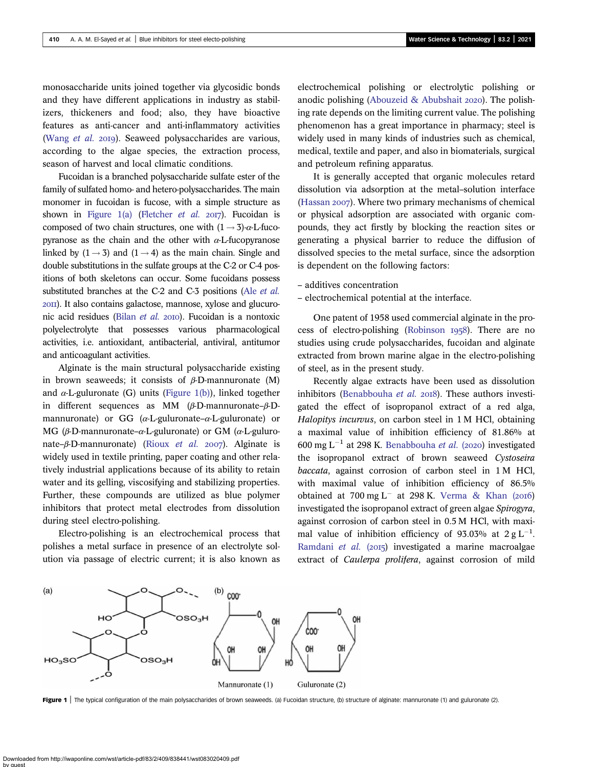<span id="page-1-0"></span>monosaccharide units joined together via glycosidic bonds and they have different applications in industry as stabilizers, thickeners and food; also, they have bioactive features as anti-cancer and anti-inflammatory activities ([Wang](#page-15-0) et al. 2019). Seaweed polysaccharides are various, according to the algae species, the extraction process, season of harvest and local climatic conditions.

Fucoidan is a branched polysaccharide sulfate ester of the family of sulfated homo- and hetero-polysaccharides. The main monomer in fucoidan is fucose, with a simple structure as shown in Figure 1(a) ([Fletcher](#page-14-0) *et al.* 2017). Fucoidan is composed of two chain structures, one with  $(1 \rightarrow 3)$ - $\alpha$ -L-fucopyranose as the chain and the other with  $\alpha$ -L-fucopyranose linked by  $(1 \rightarrow 3)$  and  $(1 \rightarrow 4)$  as the main chain. Single and double substitutions in the sulfate groups at the C-2 or C-4 positions of both skeletons can occur. Some fucoidans possess substituted branches at the C-2 and C-3 positions (Ale *[et al.](#page-14-0)*) ). It also contains galactose, mannose, xylose and glucuro-nic acid residues [\(Bilan](#page-14-0) et al. 2010). Fucoidan is a nontoxic polyelectrolyte that possesses various pharmacological activities, i.e. antioxidant, antibacterial, antiviral, antitumor and anticoagulant activities.

Alginate is the main structural polysaccharide existing in brown seaweeds; it consists of  $\beta$ -D-mannuronate (M) and  $\alpha$ -L-guluronate (G) units (Figure 1(b)), linked together in different sequences as MM (β-D-mannuronate–β-Dmannuronate) or GG ( $\alpha$ -L-guluronate– $\alpha$ -L-guluronate) or MG (β-D-mannuronate–α-L-guluronate) or GM (α-L-guluro-nate–β-D-mannuronate) ([Rioux](#page-15-0) et al. 2007). Alginate is widely used in textile printing, paper coating and other relatively industrial applications because of its ability to retain water and its gelling, viscosifying and stabilizing properties. Further, these compounds are utilized as blue polymer inhibitors that protect metal electrodes from dissolution during steel electro-polishing.

Electro-polishing is an electrochemical process that polishes a metal surface in presence of an electrolyte solution via passage of electric current; it is also known as electrochemical polishing or electrolytic polishing or anodic polishing [\(Abouzeid & Abubshait](#page-13-0)  $2020$ ). The polishing rate depends on the limiting current value. The polishing phenomenon has a great importance in pharmacy; steel is widely used in many kinds of industries such as chemical, medical, textile and paper, and also in biomaterials, surgical and petroleum refining apparatus.

It is generally accepted that organic molecules retard dissolution via adsorption at the metal–solution interface ([Hassan](#page-14-0)  $2007$ ). Where two primary mechanisms of chemical or physical adsorption are associated with organic compounds, they act firstly by blocking the reaction sites or generating a physical barrier to reduce the diffusion of dissolved species to the metal surface, since the adsorption is dependent on the following factors:

- additives concentration
- electrochemical potential at the interface.

One patent of 1958 used commercial alginate in the pro-cess of electro-polishing [\(Robinson](#page-15-0) 1958). There are no studies using crude polysaccharides, fucoidan and alginate extracted from brown marine algae in the electro-polishing of steel, as in the present study.

Recently algae extracts have been used as dissolution inhibitors [\(Benabbouha](#page-14-0) et al.  $2018$ ). These authors investigated the effect of isopropanol extract of a red alga, Halopitys incurvus, on carbon steel in 1 M HCl, obtaining a maximal value of inhibition efficiency of 81.86% at 600 mg L<sup>-1</sup> at 298 K. [Benabbouha](#page-14-0) et al. (2020) investigated the isopropanol extract of brown seaweed Cystoseira baccata, against corrosion of carbon steel in 1 M HCl, with maximal value of inhibition efficiency of 86.5% obtained at  $700 \text{ mg L}^-$  at  $298 \text{ K}$ . [Verma & Khan \(](#page-15-0)2016) investigated the isopropanol extract of green algae Spirogyra, against corrosion of carbon steel in 0.5 M HCl, with maximal value of inhibition efficiency of 93.03% at  $2 \text{ g L}^{-1}$ . [Ramdani](#page-15-0) et al. (2015) investigated a marine macroalgae extract of Caulerpa prolifera, against corrosion of mild



Figure 1 | The typical configuration of the main polysaccharides of brown seaweeds. (a) Fucoidan structure, (b) structure of alginate: mannuronate (1) and guluronate (2).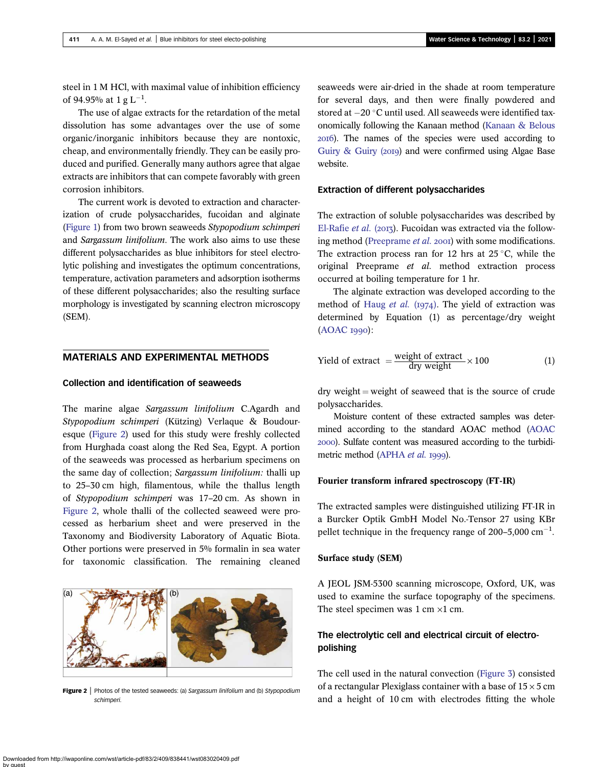<span id="page-2-0"></span>steel in 1 M HCl, with maximal value of inhibition efficiency of 94.95% at 1 g  $\mathrm{L}^{-1}$ .

The use of algae extracts for the retardation of the metal dissolution has some advantages over the use of some organic/inorganic inhibitors because they are nontoxic, cheap, and environmentally friendly. They can be easily produced and purified. Generally many authors agree that algae extracts are inhibitors that can compete favorably with green corrosion inhibitors.

The current work is devoted to extraction and characterization of crude polysaccharides, fucoidan and alginate [\(Figure 1\)](#page-1-0) from two brown seaweeds Stypopodium schimperi and Sargassum linifolium. The work also aims to use these different polysaccharides as blue inhibitors for steel electrolytic polishing and investigates the optimum concentrations, temperature, activation parameters and adsorption isotherms of these different polysaccharides; also the resulting surface morphology is investigated by scanning electron microscopy (SEM).

## MATERIALS AND EXPERIMENTAL METHODS

# Collection and identification of seaweeds

The marine algae Sargassum linifolium C.Agardh and Stypopodium schimperi (Kützing) Verlaque & Boudouresque (Figure 2) used for this study were freshly collected from Hurghada coast along the Red Sea, Egypt. A portion of the seaweeds was processed as herbarium specimens on the same day of collection; Sargassum linifolium: thalli up to 25–30 cm high, filamentous, while the thallus length of Stypopodium schimperi was 17–20 cm. As shown in Figure 2, whole thalli of the collected seaweed were processed as herbarium sheet and were preserved in the Taxonomy and Biodiversity Laboratory of Aquatic Biota. Other portions were preserved in 5% formalin in sea water for taxonomic classification. The remaining cleaned



Figure 2 | Photos of the tested seaweeds: (a) Sargassum linifolium and (b) Stypopodium schimperi.

seaweeds were air-dried in the shade at room temperature for several days, and then were finally powdered and stored at  $-20$   $^{\circ}\textrm{C}$  until used. All seaweeds were identified taxonomically following the Kanaan method ([Kanaan & Belous](#page-14-0) ). The names of the species were used according to [Guiry & Guiry \(](#page-14-0)2019) and were confirmed using Algae Base website.

#### Extraction of different polysaccharides

The extraction of soluble polysaccharides was described by [El-Rafie](#page-14-0) et al. (2013). Fucoidan was extracted via the follow-ing method ([Preeprame](#page-15-0) et al. 2001) with some modifications. The extraction process ran for 12 hrs at  $25^{\circ}$ C, while the original Preeprame et al. method extraction process occurred at boiling temperature for 1 hr.

The alginate extraction was developed according to the method of [Haug](#page-14-0) et al.  $(1974)$ . The yield of extraction was determined by Equation (1) as percentage/dry weight  $(AOAC I990)$  $(AOAC I990)$ :

$$
Yield of extract = \frac{weight of extract}{dry weight} \times 100
$$
 (1)

 $\frac{dy}{dx}$  dry weight  $=$  weight of seaweed that is the source of crude polysaccharides.

Moisture content of these extracted samples was determined according to the standard AOAC method [\(AOAC](#page-14-0) ). Sulfate content was measured according to the turbidi-metric method ([APHA](#page-14-0) et al. 1999).

## Fourier transform infrared spectroscopy (FT-IR)

The extracted samples were distinguished utilizing FT-IR in a Burcker Optik GmbH Model No.-Tensor 27 using KBr pellet technique in the frequency range of  $200-5,000$  cm<sup>-1</sup>.

#### Surface study (SEM)

A JEOL JSM-5300 scanning microscope, Oxford, UK, was used to examine the surface topography of the specimens. The steel specimen was  $1 \text{ cm} \times 1 \text{ cm}$ .

# The electrolytic cell and electrical circuit of electropolishing

The cell used in the natural convection [\(Figure 3\)](#page-3-0) consisted of a rectangular Plexiglass container with a base of  $15 \times 5$  cm and a height of 10 cm with electrodes fitting the whole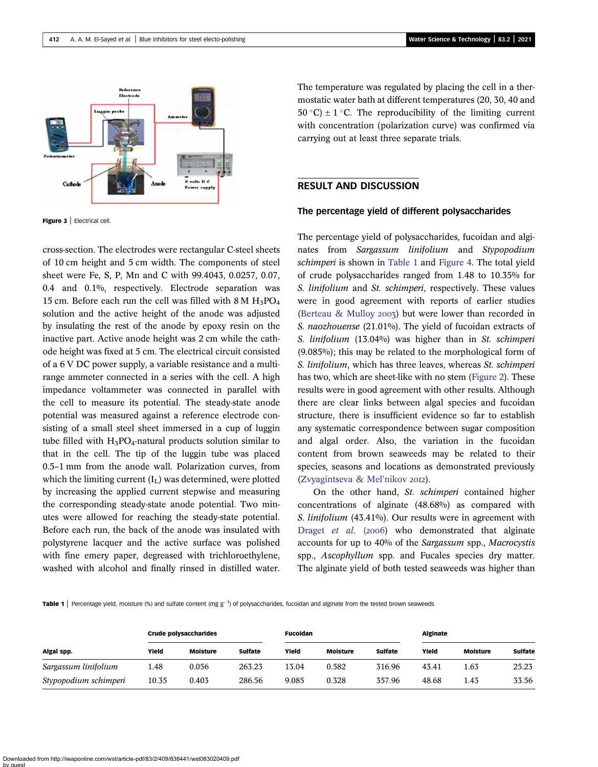<span id="page-3-0"></span>

Figure 3 | Electrical cell.

cross-section. The electrodes were rectangular C-steel sheets of 10 cm height and 5 cm width. The components of steel sheet were Fe, S, P, Mn and C with 99.4043, 0.0257, 0.07, 0.4 and 0.1%, respectively. Electrode separation was 15 cm. Before each run the cell was filled with  $8 M H<sub>5</sub>PO<sub>4</sub>$ solution and the active height of the anode was adjusted by insulating the rest of the anode by epoxy resin on the inactive part. Active anode height was 2 cm while the cathode height was fixed at 5 cm. The electrical circuit consisted of a 6 V DC power supply, a variable resistance and a multirange ammeter connected in a series with the cell. A high impedance voltammeter was connected in parallel with the cell to measure its potential. The steady-state anode potential was measured against a reference electrode consisting of a small steel sheet immersed in a cup of luggin tube filled with  $H_3PO_4$ -natural products solution similar to that in the cell. The tip of the luggin tube was placed 0.5–1 mm from the anode wall. Polarization curves, from which the limiting current  $(I_L)$  was determined, were plotted by increasing the applied current stepwise and measuring the corresponding steady-state anode potential. Two minutes were allowed for reaching the steady-state potential. Before each run, the back of the anode was insulated with polystyrene lacquer and the active surface was polished with fine emery paper, degreased with trichloroethylene, washed with alcohol and finally rinsed in distilled water. The temperature was regulated by placing the cell in a thermostatic water bath at different temperatures (20, 30, 40 and 50 °C)  $\pm$  1 °C. The reproducibility of the limiting current with concentration (polarization curve) was confirmed via carrying out at least three separate trials.

# RESULT AND DISCUSSION

#### The percentage yield of different polysaccharides

The percentage yield of polysaccharides, fucoidan and alginates from Sargassum linifolium and Stypopodium schimperi is shown in Table 1 and [Figure 4.](#page-4-0) The total yield of crude polysaccharides ranged from 1.48 to 10.35% for S. linifolium and St. schimperi, respectively. These values were in good agreement with reports of earlier studies ([Berteau & Mulloy](#page-14-0) 2003) but were lower than recorded in S. naozhouense (21.01%). The yield of fucoidan extracts of S. linifolium (13.04%) was higher than in St. schimperi (9.085%); this may be related to the morphological form of S. linifolium, which has three leaves, whereas St. schimperi has two, which are sheet-like with no stem ([Figure 2\)](#page-2-0). These results were in good agreement with other results. Although there are clear links between algal species and fucoidan structure, there is insufficient evidence so far to establish any systematic correspondence between sugar composition and algal order. Also, the variation in the fucoidan content from brown seaweeds may be related to their species, seasons and locations as demonstrated previously ([Zvyagintseva & Mel](#page-15-0)'nikov 2012).

On the other hand, St. schimperi contained higher concentrations of alginate (48.68%) as compared with S. linifolium (43.41%). Our results were in agreement with [Draget](#page-14-0) et al. (2006) who demonstrated that alginate accounts for up to 40% of the Sargassum spp., Macrocystis spp., *Ascophyllum* spp. and Fucales species dry matter. The alginate yield of both tested seaweeds was higher than

Table 1 | Percentage yield, moisture (%) and sulfate content (mg g<sup>-1</sup>) of polysaccharides, fucoidan and alginate from the tested brown seaweeds

|                       | <b>Crude polysaccharides</b> |                 |                | <b>Fucoidan</b> |                 |                | <b>Alginate</b> |                 |                |
|-----------------------|------------------------------|-----------------|----------------|-----------------|-----------------|----------------|-----------------|-----------------|----------------|
| Algal spp.            | Yield                        | <b>Moisture</b> | <b>Sulfate</b> | Yield           | <b>Moisture</b> | <b>Sulfate</b> | Yield           | <b>Moisture</b> | <b>Sulfate</b> |
| Sargassum linifolium  | 1.48                         | 0.056           | 263.23         | 13.04           | 0.582           | 316.96         | 43.41           | 1.63            | 25.23          |
| Stypopodium schimperi | 10.35                        | 0.403           | 286.56         | 9.085           | 0.328           | 357.96         | 48.68           | 1.43            | 33.56          |

Downloaded from http://iwaponline.com/wst/article-pdf/83/2/409/838441/wst083020409.pdf by guest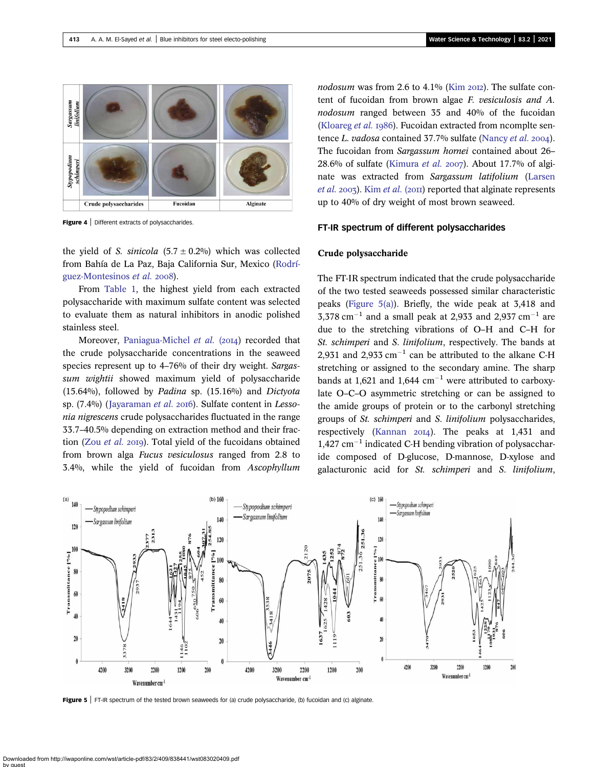<span id="page-4-0"></span>

Figure 4 | Different extracts of polysaccharides.

the yield of S. sinicola  $(5.7 \pm 0.2\%)$  which was collected from Bahía de La Paz, Baja California Sur, Mexico [\(Rodrí](#page-15-0)[guez-Montesinos](#page-15-0) et al. 2008).

From [Table 1,](#page-3-0) the highest yield from each extracted polysaccharide with maximum sulfate content was selected to evaluate them as natural inhibitors in anodic polished stainless steel.

Moreover, [Paniagua-Michel](#page-15-0) et al. (2014) recorded that the crude polysaccharide concentrations in the seaweed species represent up to 4–76% of their dry weight. Sargassum wightii showed maximum yield of polysaccharide  $(15.64\%)$ , followed by *Padina* sp.  $(15.16\%)$  and *Dictyota* sp. (7.4%) ([Jayaraman](#page-14-0) et al. 2016). Sulfate content in Lessonia nigrescens crude polysaccharides fluctuated in the range 33.7–40.5% depending on extraction method and their fraction (Zou [et al.](#page-15-0) 2019). Total yield of the fucoidans obtained from brown alga Fucus vesiculosus ranged from 2.8 to 3.4%, while the yield of fucoidan from Ascophyllum nodosum was from 2.6 to 4.1% [\(Kim](#page-14-0)  $20I2$ ). The sulfate content of fucoidan from brown algae F. vesiculosis and A. nodosum ranged between 35 and 40% of the fucoidan [\(Kloareg](#page-15-0) *et al.* 1986). Fucoidan extracted from ncomplte sentence L. vadosa contained  $37.7\%$  sulfate [\(Nancy](#page-15-0) et al. 2004). The fucoidan from Sargassum hornei contained about 26– 28.6% of sulfate ([Kimura](#page-14-0) et al. 2007). About 17.7% of alginate was extracted from Sargassum latifolium [\(Larsen](#page-15-0) [et al.](#page-14-0) 2003). Kim et al. (2011) reported that alginate represents up to 40% of dry weight of most brown seaweed.

#### FT-IR spectrum of different polysaccharides

## Crude polysaccharide

The FT-IR spectrum indicated that the crude polysaccharide of the two tested seaweeds possessed similar characteristic peaks (Figure 5(a)). Briefly, the wide peak at 3,418 and  $3,378$  cm<sup>-1</sup> and a small peak at 2,933 and 2,937 cm<sup>-1</sup> are due to the stretching vibrations of O–H and C–H for St. schimperi and S. linifolium, respectively. The bands at 2,931 and 2,933  $cm^{-1}$  can be attributed to the alkane C-H stretching or assigned to the secondary amine. The sharp bands at 1,621 and 1,644  $cm^{-1}$  were attributed to carboxylate O–C–O asymmetric stretching or can be assigned to the amide groups of protein or to the carbonyl stretching groups of St. schimperi and S. linifolium polysaccharides, respectively [\(Kannan](#page-14-0)  $20I4$ ). The peaks at 1,431 and 1,427 cm-<sup>1</sup> indicated C-H bending vibration of polysaccharide composed of D-glucose, D-mannose, D-xylose and galacturonic acid for St. schimperi and S. linifolium,



Figure 5 | FT-IR spectrum of the tested brown seaweeds for (a) crude polysaccharide, (b) fucoidan and (c) alginate.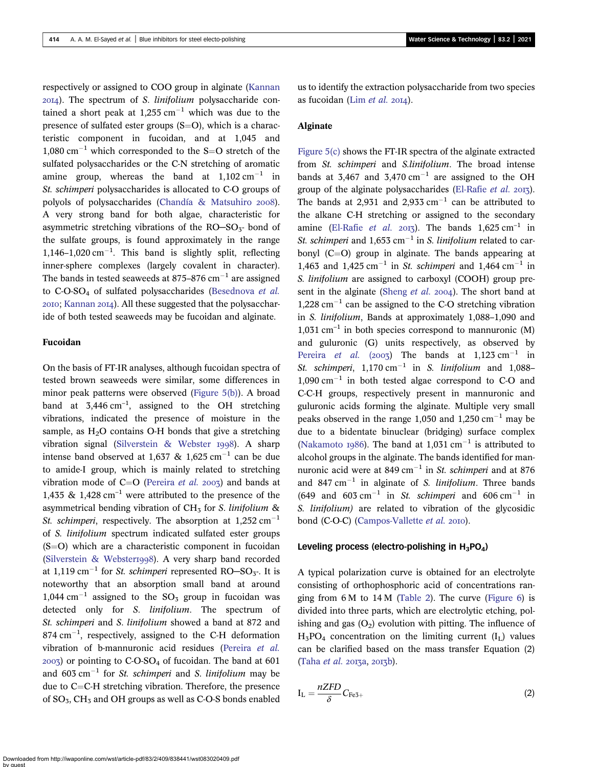respectively or assigned to COO group in alginate [\(Kannan](#page-14-0)  $20I<sub>4</sub>$ ). The spectrum of S. *linifolium* polysaccharide contained a short peak at  $1,255$  cm<sup>-1</sup> which was due to the presence of sulfated ester groups  $(S=O)$ , which is a characteristic component in fucoidan, and at 1,045 and  $1,080 \text{ cm}^{-1}$  which corresponded to the S=O stretch of the sulfated polysaccharides or the C-N stretching of aromatic amine group, whereas the band at  $1,102 \text{ cm}^{-1}$  in St. schimperi polysaccharides is allocated to C-O groups of polyols of polysaccharides ([Chandía & Matsuhiro](#page-14-0) 2008). A very strong band for both algae, characteristic for asymmetric stretching vibrations of the  $RO-SO<sub>3</sub>$ - bond of the sulfate groups, is found approximately in the range 1,146-1,020 cm<sup>-1</sup>. This band is slightly split, reflecting inner-sphere complexes (largely covalent in character). The bands in tested seaweeds at 875–876  $\rm cm^{-1}$  are assigned to  $C-O-SO<sub>4</sub>$  of sulfated polysaccharides ([Besednova](#page-14-0) et al.  $2010$ ; [Kannan](#page-14-0)  $2014$ ). All these suggested that the polysaccharide of both tested seaweeds may be fucoidan and alginate.

#### Fucoidan

On the basis of FT-IR analyses, although fucoidan spectra of tested brown seaweeds were similar, some differences in minor peak patterns were observed [\(Figure 5\(b\)\)](#page-4-0). A broad band at  $3,446 \text{ cm}^{-1}$ , assigned to the OH stretching vibrations, indicated the presence of moisture in the sample, as  $H<sub>2</sub>O$  contains O-H bonds that give a stretching vibration signal ([Silverstein & Webster](#page-15-0) 1998). A sharp intense band observed at 1,637 & 1,625 cm<sup>-1</sup> can be due to amide-I group, which is mainly related to stretching vibration mode of  $C=O$  [\(Pereira](#page-15-0) *et al.* 2003) and bands at 1,435  $\&$  1,428 cm<sup>-1</sup> were attributed to the presence of the asymmetrical bending vibration of  $CH<sub>5</sub>$  for S. linifolium & St. schimperi, respectively. The absorption at  $1,252$  cm<sup>-1</sup> of S. linifolium spectrum indicated sulfated ester groups  $(S=O)$  which are a characteristic component in fucoidan ([Silverstein & Webster](#page-15-0)1998). A very sharp band recorded at  $1,119 \text{ cm}^{-1}$  for *St. schimperi* represented RO-SO<sub>3</sub>-. It is noteworthy that an absorption small band at around 1,044 cm<sup>-1</sup> assigned to the  $SO_3$  group in fucoidan was detected only for S. linifolium. The spectrum of St. schimperi and S. linifolium showed a band at 872 and  $874 \text{ cm}^{-1}$ , respectively, assigned to the C-H deformation vibration of b-mannuronic acid residues ([Pereira](#page-15-0) et al.  $(2003)$  or pointing to  $C$ -O-SO<sub>4</sub> of fucoidan. The band at 601 and  $603 \text{ cm}^{-1}$  for *St. schimperi* and *S. linifolium* may be due to  $C=C-H$  stretching vibration. Therefore, the presence of  $SO_5$ ,  $CH_5$  and OH groups as well as C-O-S bonds enabled us to identify the extraction polysaccharide from two species as fucoidan (Lim [et al.](#page-15-0)  $20I4$ ).

#### Alginate

[Figure 5\(c\)](#page-4-0) shows the FT-IR spectra of the alginate extracted from St. schimperi and S.linifolium. The broad intense bands at 3,467 and 3,470  $\text{cm}^{-1}$  are assigned to the OH group of the alginate polysaccharides [\(El-Rafie](#page-14-0) et al. 2013). The bands at 2,931 and 2,933  $cm^{-1}$  can be attributed to the alkane C-H stretching or assigned to the secondary amine [\(El-Rafie](#page-14-0) et al. 2013). The bands  $1.625 \text{ cm}^{-1}$  in St. schimperi and  $1,653$  cm<sup>-1</sup> in S. linifolium related to carbonyl  $(C=O)$  group in alginate. The bands appearing at 1,463 and  $1,425 \text{ cm}^{-1}$  in *St. schimperi* and  $1,464 \text{ cm}^{-1}$  in S. linifolium are assigned to carboxyl (COOH) group pre-sent in the alginate [\(Sheng](#page-15-0) et al. 2004). The short band at  $1,228$  cm<sup>-1</sup> can be assigned to the C-O stretching vibration in S. linifolium, Bands at approximately 1,088–1,090 and  $1,031$  cm<sup>-1</sup> in both species correspond to mannuronic (M) and guluronic (G) units respectively, as observed by [Pereira](#page-15-0) et al. (2003) The bands at  $1,123$  cm<sup>-1</sup> in St. schimperi,  $1,170 \text{ cm}^{-1}$  in S. linifolium and  $1,088 1,090 \text{ cm}^{-1}$  in both tested algae correspond to C-O and C-C-H groups, respectively present in mannuronic and guluronic acids forming the alginate. Multiple very small peaks observed in the range 1,050 and 1,250  $\text{cm}^{-1}$  may be due to a bidentate binuclear (bridging) surface complex ([Nakamoto](#page-15-0) 1986). The band at 1,031 cm<sup>-1</sup> is attributed to alcohol groups in the alginate. The bands identified for mannuronic acid were at 849 cm<sup>-1</sup> in *St. schimperi* and at 876 and 847 cm<sup>-1</sup> in alginate of *S. linifolium*. Three bands  $(649 \text{ and } 603 \text{ cm}^{-1} \text{ in } St. \text{ *schimperi* and  $606 \text{ cm}^{-1}$  in$ S. linifolium) are related to vibration of the glycosidic bond (C-O-C) ([Campos-Vallette](#page-14-0) et al. 2010).

#### Leveling process (electro-polishing in  $H_3PO_4$ )

A typical polarization curve is obtained for an electrolyte consisting of orthophosphoric acid of concentrations ranging from 6 M to 14 M [\(Table 2\)](#page-6-0). The curve [\(Figure 6\)](#page-6-0) is divided into three parts, which are electrolytic etching, polishing and gas  $(O_2)$  evolution with pitting. The influence of  $H_5PO_4$  concentration on the limiting current  $(I_L)$  values can be clarified based on the mass transfer Equation (2)  $(Taha et al. 2013a. 2013b).$  $(Taha et al. 2013a. 2013b).$  $(Taha et al. 2013a. 2013b).$ 

$$
I_{L} = \frac{nZFD}{\delta} C_{Fe3+}
$$
 (2)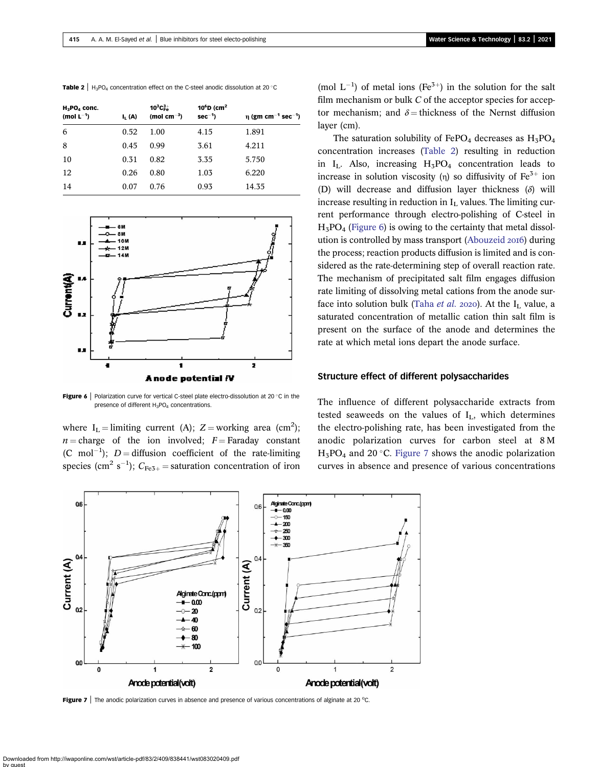<span id="page-6-0"></span>**Table 2** |  $H_3PO_4$  concentration effect on the C-steel anodic dissolution at 20 °C

| $H_3$ PO <sub>4</sub> conc.<br>(mol $L^{-1}$ ) | $I_1(A)$ | $10^3$ C $_{\rm Fe}^{3+}$<br>(mol cm $^{-3}$ ) | 10 ${}^6$ D (cm <sup>2</sup><br>$sec^{-1}$ | $\eta$ (gm cm <sup>-1</sup> sec <sup>-1</sup> ) |
|------------------------------------------------|----------|------------------------------------------------|--------------------------------------------|-------------------------------------------------|
| 6                                              | 0.52     | 1.00                                           | 4.15                                       | 1.891                                           |
| 8                                              | 0.45     | 0.99                                           | 3.61                                       | 4.211                                           |
| 10                                             | 0.31     | 0.82                                           | 3.35                                       | 5.750                                           |
| 12                                             | 0.26     | 0.80                                           | 1.03                                       | 6.220                                           |
| 14                                             | 0.07     | 0.76                                           | 0.93                                       | 14.35                                           |



Figure 6 | Polarization curve for vertical C-steel plate electro-dissolution at 20 $\degree$ C in the presence of different H<sub>3</sub>PO<sub>4</sub> concentrations.

where  $I_L =$  limiting current (A);  $Z =$  working area (cm<sup>2</sup>);  $n =$ charge of the ion involved;  $F =$  Faraday constant (C mol<sup>-1</sup>);  $D =$  diffusion coefficient of the rate-limiting species (cm<sup>2</sup> s<sup>-1</sup>);  $C_{Fe3+}$  = saturation concentration of iron

(mol  $L^{-1}$ ) of metal ions (Fe<sup>3+</sup>) in the solution for the salt film mechanism or bulk  $C$  of the acceptor species for acceptor mechanism; and  $\delta$  = thickness of the Nernst diffusion layer (cm).

The saturation solubility of FePO<sub>4</sub> decreases as  $H_5PO_4$ concentration increases (Table 2) resulting in reduction in  $I_L$ . Also, increasing  $H_3PO_4$  concentration leads to increase in solution viscosity (η) so diffusivity of  $Fe<sup>3+</sup>$  ion (D) will decrease and diffusion layer thickness  $(\delta)$  will increase resulting in reduction in  $I_L$  values. The limiting current performance through electro-polishing of C-steel in  $H_3PO_4$  (Figure 6) is owing to the certainty that metal dissol-ution is controlled by mass transport [\(Abouzeid](#page-13-0) 2016) during the process; reaction products diffusion is limited and is considered as the rate-determining step of overall reaction rate. The mechanism of precipitated salt film engages diffusion rate limiting of dissolving metal cations from the anode sur-face into solution bulk [\(Taha](#page-15-0) et al. 2020). At the  $I_L$  value, a saturated concentration of metallic cation thin salt film is present on the surface of the anode and determines the rate at which metal ions depart the anode surface.

#### Structure effect of different polysaccharides

The influence of different polysaccharide extracts from tested seaweeds on the values of  $I_L$ , which determines the electro-polishing rate, has been investigated from the anodic polarization curves for carbon steel at 8 M  $H_3PO_4$  and 20 °C. Figure 7 shows the anodic polarization curves in absence and presence of various concentrations



Figure 7 | The anodic polarization curves in absence and presence of various concentrations of alginate at 20  $^{\circ}$ C.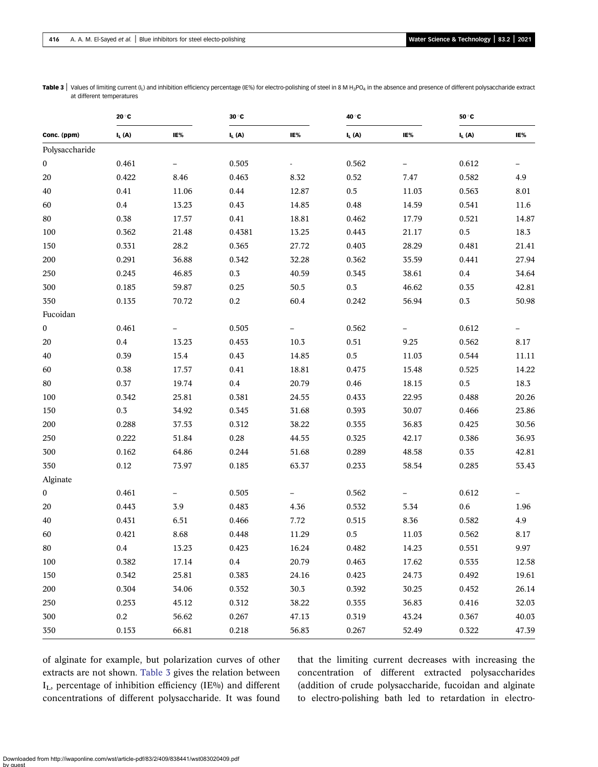|                  | 20 °C    |         | 30 °C    |       | 40 °C    |       | $50^{\circ}$ C |       |
|------------------|----------|---------|----------|-------|----------|-------|----------------|-------|
| Conc. (ppm)      | $I_L(A)$ | IE%     | $I_L(A)$ | IE%   | $I_L(A)$ | IE%   | $I_L(A)$       | IE%   |
| Polysaccharide   |          |         |          |       |          |       |                |       |
| 0                | 0.461    |         | 0.505    |       | 0.562    |       | 0.612          |       |
| 20               | 0.422    | 8.46    | 0.463    | 8.32  | 0.52     | 7.47  | 0.582          | 4.9   |
| 40               | 0.41     | 11.06   | 0.44     | 12.87 | $0.5\,$  | 11.03 | 0.563          | 8.01  |
| 60               | 0.4      | 13.23   | 0.43     | 14.85 | 0.48     | 14.59 | 0.541          | 11.6  |
| $80\,$           | $0.38\,$ | 17.57   | 0.41     | 18.81 | 0.462    | 17.79 | 0.521          | 14.87 |
| 100              | 0.362    | 21.48   | 0.4381   | 13.25 | 0.443    | 21.17 | $0.5\,$        | 18.3  |
| 150              | 0.331    | 28.2    | 0.365    | 27.72 | 0.403    | 28.29 | 0.481          | 21.41 |
| 200              | 0.291    | 36.88   | 0.342    | 32.28 | 0.362    | 35.59 | 0.441          | 27.94 |
| 250              | 0.245    | 46.85   | $0.3\,$  | 40.59 | 0.345    | 38.61 | 0.4            | 34.64 |
| 300              | 0.185    | 59.87   | 0.25     | 50.5  | $0.3\,$  | 46.62 | 0.35           | 42.81 |
| 350              | 0.135    | 70.72   | $0.2\,$  | 60.4  | 0.242    | 56.94 | 0.3            | 50.98 |
| Fucoidan         |          |         |          |       |          |       |                |       |
| 0                | 0.461    |         | 0.505    |       | 0.562    |       | 0.612          |       |
| 20               | 0.4      | 13.23   | 0.453    | 10.3  | $0.51\,$ | 9.25  | 0.562          | 8.17  |
| 40               | 0.39     | 15.4    | 0.43     | 14.85 | $0.5\,$  | 11.03 | 0.544          | 11.11 |
| 60               | 0.38     | 17.57   | 0.41     | 18.81 | 0.475    | 15.48 | 0.525          | 14.22 |
| $80\,$           | $0.37\,$ | 19.74   | 0.4      | 20.79 | 0.46     | 18.15 | $0.5\,$        | 18.3  |
| 100              | 0.342    | 25.81   | 0.381    | 24.55 | 0.433    | 22.95 | 0.488          | 20.26 |
| 150              | $0.3\,$  | 34.92   | 0.345    | 31.68 | 0.393    | 30.07 | 0.466          | 23.86 |
| 200              | 0.288    | 37.53   | 0.312    | 38.22 | 0.355    | 36.83 | 0.425          | 30.56 |
| 250              | 0.222    | 51.84   | $0.28\,$ | 44.55 | 0.325    | 42.17 | 0.386          | 36.93 |
| 300              | 0.162    | 64.86   | 0.244    | 51.68 | 0.289    | 48.58 | 0.35           | 42.81 |
| 350              | $0.12\,$ | 73.97   | 0.185    | 63.37 | 0.233    | 58.54 | 0.285          | 53.43 |
| Alginate         |          |         |          |       |          |       |                |       |
| $\boldsymbol{0}$ | 0.461    |         | 0.505    |       | 0.562    |       | 0.612          |       |
| 20               | 0.443    | $3.9\,$ | 0.483    | 4.36  | 0.532    | 5.34  | $0.6\,$        | 1.96  |
| 40               | 0.431    | 6.51    | 0.466    | 7.72  | 0.515    | 8.36  | 0.582          | 4.9   |
| 60               | 0.421    | 8.68    | 0.448    | 11.29 | $0.5\,$  | 11.03 | 0.562          | 8.17  |
| $80\,$           | $0.4\,$  | 13.23   | 0.423    | 16.24 | 0.482    | 14.23 | 0.551          | 9.97  |
| 100              | 0.382    | 17.14   | 0.4      | 20.79 | 0.463    | 17.62 | 0.535          | 12.58 |
| 150              | 0.342    | 25.81   | 0.383    | 24.16 | 0.423    | 24.73 | 0.492          | 19.61 |
| 200              | 0.304    | 34.06   | 0.352    | 30.3  | 0.392    | 30.25 | 0.452          | 26.14 |
| 250              | 0.253    | 45.12   | 0.312    | 38.22 | 0.355    | 36.83 | 0.416          | 32.03 |
| 300              | $0.2\,$  | 56.62   | 0.267    | 47.13 | 0.319    | 43.24 | 0.367          | 40.03 |
| 350              | 0.153    | 66.81   | 0.218    | 56.83 | 0.267    | 52.49 | 0.322          | 47.39 |

<span id="page-7-0"></span>Table 3 | Values of limiting current (I<sub>L</sub>) and inhibition efficiency percentage (IE%) for electro-polishing of steel in 8 M H<sub>3</sub>PO<sub>4</sub> in the absence and presence of different polysaccharide extract at different temperatures

of alginate for example, but polarization curves of other extracts are not shown. Table 3 gives the relation between IL, percentage of inhibition efficiency (IE%) and different concentrations of different polysaccharide. It was found

that the limiting current decreases with increasing the concentration of different extracted polysaccharides (addition of crude polysaccharide, fucoidan and alginate to electro-polishing bath led to retardation in electro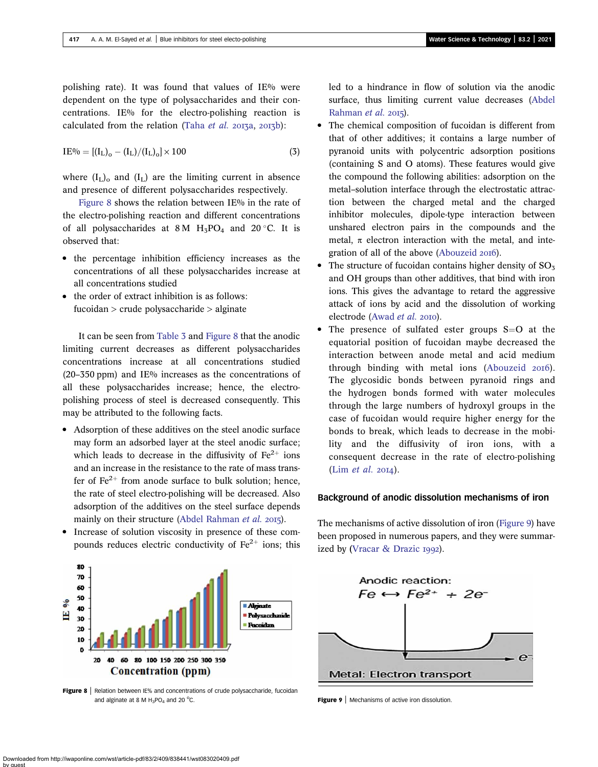polishing rate). It was found that values of IE% were dependent on the type of polysaccharides and their concentrations. IE% for the electro-polishing reaction is calculated from the relation [\(Taha](#page-15-0) et al.  $2013a$ ,  $2013b$ ):

$$
IE^{0/0} = [(I_{L})_{0} - (I_{L})/(I_{L})_{0}] \times 100
$$
\n(3)

where  $(I_L)$ <sub>0</sub> and  $(I_L)$  are the limiting current in absence and presence of different polysaccharides respectively.

Figure 8 shows the relation between IE% in the rate of the electro-polishing reaction and different concentrations of all polysaccharides at 8 M  $H_3PO_4$  and 20 °C. It is observed that:

- the percentage inhibition efficiency increases as the concentrations of all these polysaccharides increase at all concentrations studied
- the order of extract inhibition is as follows: fucoidan > crude polysaccharide > alginate

It can be seen from [Table 3](#page-7-0) and Figure 8 that the anodic limiting current decreases as different polysaccharides concentrations increase at all concentrations studied  $(20-350 \text{ ppm})$  and IE% increases as the concentrations of all these polysaccharides increase; hence, the electropolishing process of steel is decreased consequently. This may be attributed to the following facts.

• Adsorption of these additives on the steel anodic surface may form an adsorbed layer at the steel anodic surface; which leads to decrease in the diffusivity of  $Fe^{2+}$  ions and an increase in the resistance to the rate of mass transfer of  $\text{Fe}^{2+}$  from anode surface to bulk solution; hence, the rate of steel electro-polishing will be decreased. Also adsorption of the additives on the steel surface depends mainly on their structure [\(Abdel Rahman](#page-13-0) et al. 2015).

led to a hindrance in flow of solution via the anodic surface, thus limiting current value decreases [\(Abdel](#page-13-0) [Rahman](#page-13-0)  $et$  al. 2015).

- The chemical composition of fucoidan is different from that of other additives; it contains a large number of pyranoid units with polycentric adsorption positions (containing S and O atoms). These features would give the compound the following abilities: adsorption on the metal–solution interface through the electrostatic attraction between the charged metal and the charged inhibitor molecules, dipole-type interaction between unshared electron pairs in the compounds and the metal,  $\pi$  electron interaction with the metal, and inte-gration of all of the above [\(Abouzeid](#page-13-0) 2016).
- The structure of fucoidan contains higher density of  $SO<sub>3</sub>$ and OH groups than other additives, that bind with iron ions. This gives the advantage to retard the aggressive attack of ions by acid and the dissolution of working electrode ([Awad](#page-14-0) et al. 2010).
- The presence of sulfated ester groups  $S=O$  at the equatorial position of fucoidan maybe decreased the interaction between anode metal and acid medium through binding with metal ions [\(Abouzeid](#page-13-0) 2016). The glycosidic bonds between pyranoid rings and the hydrogen bonds formed with water molecules through the large numbers of hydroxyl groups in the case of fucoidan would require higher energy for the bonds to break, which leads to decrease in the mobility and the diffusivity of iron ions, with a consequent decrease in the rate of electro-polishing (Lim [et al.](#page-15-0) 2014).

# Background of anodic dissolution mechanisms of iron



Increase of solution viscosity in presence of these compounds reduces electric conductivity of  $Fe<sup>2+</sup>$  ions; this

The mechanisms of active dissolution of iron (Figure 9) have been proposed in numerous papers, and they were summarized by (Vracar  $\&$  Drazic 1992).



Figure 8 | Relation between IE% and concentrations of crude polysaccharide, fucoidan and alginate at 8 M  $H_3PO_4$  and 20 °C.

**Figure 9** | Mechanisms of active iron dissolution.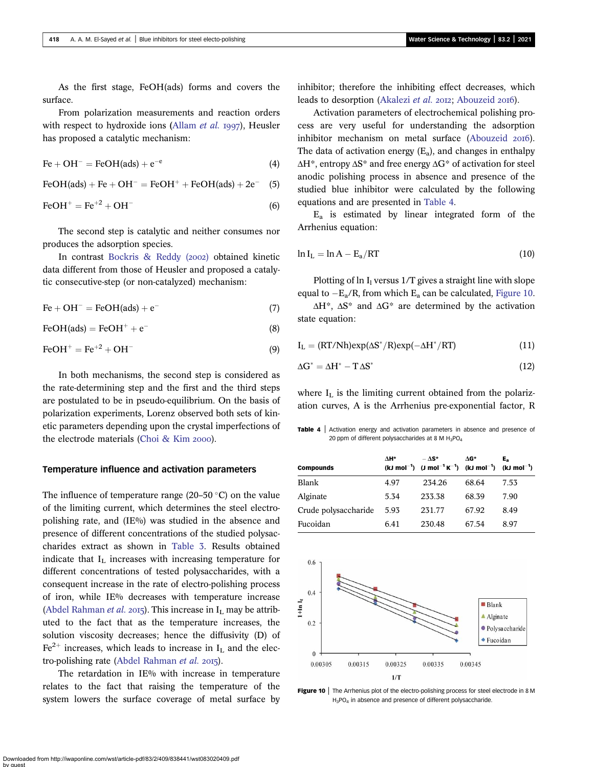<span id="page-9-0"></span>As the first stage, FeOH(ads) forms and covers the surface.

From polarization measurements and reaction orders with respect to hydroxide ions ([Allam](#page-14-0) *et al.* 1997), Heusler has proposed a catalytic mechanism:

$$
Fe + OH^- = FeOH(ads) + e^{-e}
$$
 (4)

 $FeOH(ads) + Fe + OH^- = FeOH^+ + FeOH(ads) + 2e^ (5)$ 

$$
\text{FeOH}^+ = \text{Fe}^{+2} + \text{OH}^- \tag{6}
$$

The second step is catalytic and neither consumes nor produces the adsorption species.

In contrast [Bockris & Reddy \(](#page-14-0)2002) obtained kinetic data different from those of Heusler and proposed a catalytic consecutive-step (or non-catalyzed) mechanism:

 $\text{Fe} + \text{OH}^- = \text{FeOH}(\text{ads}) + \text{e}^ \overline{\hspace{1cm}}$  (7)

 $FeOH(ads) = FeOH<sup>+</sup> + e<sup>-</sup>$  $\overline{\hspace{1cm}}$  (8)

$$
\text{FeOH}^+ = \text{Fe}^{+2} + \text{OH}^- \tag{9}
$$

In both mechanisms, the second step is considered as the rate-determining step and the first and the third steps are postulated to be in pseudo-equilibrium. On the basis of polarization experiments, Lorenz observed both sets of kinetic parameters depending upon the crystal imperfections of the electrode materials (Choi  $& Kim 2000$ ).

#### Temperature influence and activation parameters

The influence of temperature range (20–50  $\degree$ C) on the value of the limiting current, which determines the steel electropolishing rate, and (IE%) was studied in the absence and presence of different concentrations of the studied polysaccharides extract as shown in [Table 3](#page-7-0). Results obtained indicate that  $I_L$  increases with increasing temperature for different concentrations of tested polysaccharides, with a consequent increase in the rate of electro-polishing process of iron, while IE% decreases with temperature increase ([Abdel Rahman](#page-13-0) et al. 2015). This increase in  $I_L$  may be attributed to the fact that as the temperature increases, the solution viscosity decreases; hence the diffusivity (D) of  $Fe<sup>2+</sup>$  increases, which leads to increase in  $I<sub>L</sub>$  and the elec-tro-polishing rate ([Abdel Rahman](#page-13-0) et al. 2015).

The retardation in IE% with increase in temperature relates to the fact that raising the temperature of the system lowers the surface coverage of metal surface by inhibitor; therefore the inhibiting effect decreases, which leads to desorption [\(Akalezi](#page-13-0) et al. 2012; [Abouzeid](#page-13-0) 2016).

Activation parameters of electrochemical polishing process are very useful for understanding the adsorption inhibitor mechanism on metal surface ([Abouzeid](#page-13-0) 2016). The data of activation energy  $(E_a)$ , and changes in enthalpy  $\Delta H^*$ , entropy  $\Delta S^*$  and free energy  $\Delta G^*$  of activation for steel anodic polishing process in absence and presence of the studied blue inhibitor were calculated by the following equations and are presented in Table 4.

 $E_a$  is estimated by linear integrated form of the Arrhenius equation:

$$
\ln I_{\rm L} = \ln A - E_{\rm a}/RT \tag{10}
$$

Plotting of  $\ln I_1$  versus 1/T gives a straight line with slope equal to  $-E_a/R$ , from which  $E_a$  can be calculated, Figure 10.

 $\Delta H^*$ ,  $\Delta S^*$  and  $\Delta G^*$  are determined by the activation state equation:

$$
I_{L} = (RT/Nh)exp(\Delta S^*/R)exp(-\Delta H^*/RT)
$$
\n(11)

$$
\Delta G^* = \Delta H^* - T \Delta S^* \tag{12}
$$

where  $I_L$  is the limiting current obtained from the polarization curves, A is the Arrhenius pre-exponential factor, R

Table 4 | Activation energy and activation parameters in absence and presence of 20 ppm of different polysaccharides at 8 M H<sub>3</sub>PO<sub>4</sub>

| <b>Compounds</b>     | ∧н*  | $-\Delta S^*$<br>(kJ mol <sup>-1</sup> ) (J mol <sup>-1</sup> K <sup>-1</sup> ) (kJ mol <sup>-1</sup> ) (kJ mol <sup>-1</sup> ) | ΛG*   | E <sub>a</sub> |
|----------------------|------|---------------------------------------------------------------------------------------------------------------------------------|-------|----------------|
| Blank                | 4.97 | 234.26                                                                                                                          | 68.64 | 7.53           |
| Alginate             | 5.34 | 233.38                                                                                                                          | 68.39 | 7.90           |
| Crude polysaccharide | 5.93 | 231.77                                                                                                                          | 67.92 | 8.49           |
| Fucoidan             | 6.41 | 230.48                                                                                                                          | 67.54 | 8.97           |



Figure 10 | The Arrhenius plot of the electro-polishing process for steel electrode in 8 M H<sub>3</sub>PO<sub>4</sub> in absence and presence of different polysaccharide.

Downloaded from http://iwaponline.com/wst/article-pdf/83/2/409/838441/wst083020409.pdf by guest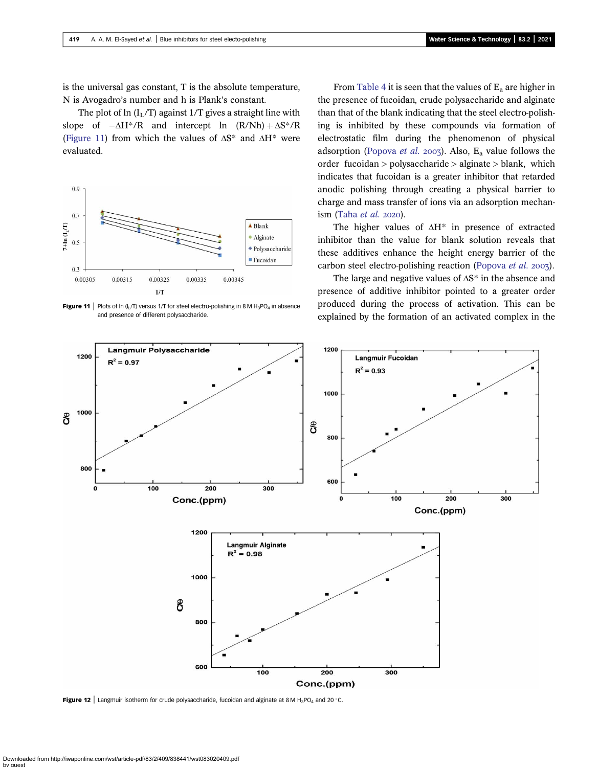<span id="page-10-0"></span>is the universal gas constant, T is the absolute temperature, N is Avogadro's number and h is Plank's constant.

The plot of ln  $(I_L/T)$  against 1/T gives a straight line with slope of  $-\Delta H^* / R$  and intercept ln  $(R/Nh) + \Delta S^* / R$ (Figure 11) from which the values of  $\Delta S^*$  and  $\Delta H^*$  were evaluated.



**Figure 11** | Plots of ln (I<sub>I</sub>/T) versus 1/T for steel electro-polishing in 8 M H<sub>3</sub>PO<sub>4</sub> in absence and presence of different polysaccharide.

From [Table 4](#page-9-0) it is seen that the values of  $E_a$  are higher in the presence of fucoidan, crude polysaccharide and alginate than that of the blank indicating that the steel electro-polishing is inhibited by these compounds via formation of electrostatic film during the phenomenon of physical adsorption [\(Popova](#page-15-0) et al. 2003). Also,  $E_a$  value follows the order fucoidan > polysaccharide > alginate > blank, which indicates that fucoidan is a greater inhibitor that retarded anodic polishing through creating a physical barrier to charge and mass transfer of ions via an adsorption mechan-ism [\(Taha](#page-15-0)  $et$   $al.$  2020).

The higher values of  $\Delta H^*$  in presence of extracted inhibitor than the value for blank solution reveals that these additives enhance the height energy barrier of the carbon steel electro-polishing reaction ([Popova](#page-15-0) et al. 2003).

The large and negative values of  $\Delta S^*$  in the absence and presence of additive inhibitor pointed to a greater order produced during the process of activation. This can be explained by the formation of an activated complex in the



Figure 12 | Langmuir isotherm for crude polysaccharide, fucoidan and alginate at 8 M H<sub>3</sub>PO<sub>4</sub> and 20 °C.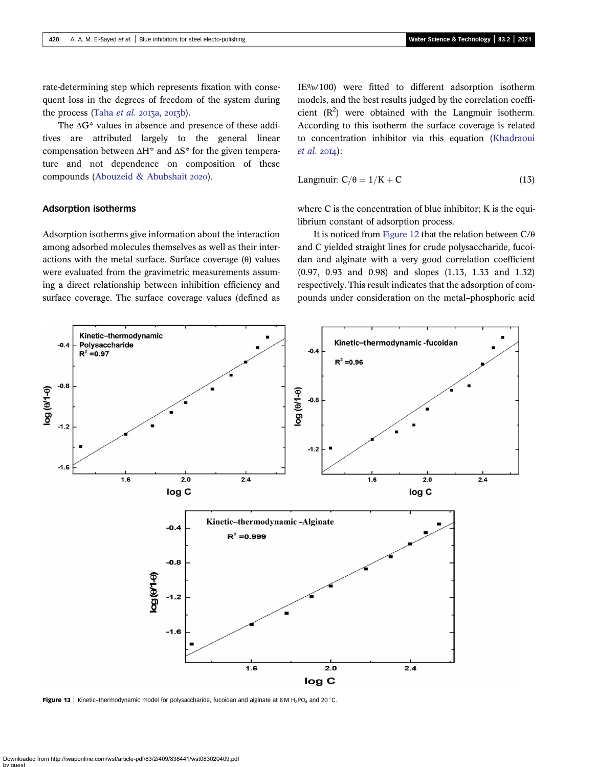<span id="page-11-0"></span>rate-determining step which represents fixation with consequent loss in the degrees of freedom of the system during the process (Taha [et al.](#page-15-0) 2013a, 2013b).

The ΔG\* values in absence and presence of these additives are attributed largely to the general linear compensation between  $\Delta H^*$  and  $\Delta S^*$  for the given temperature and not dependence on composition of these compounds ([Abouzeid & Abubshait](#page-13-0) 2020).

# IE%/100) were fitted to different adsorption isotherm models, and the best results judged by the correlation coefficient  $(R^2)$  were obtained with the Langmuir isotherm. According to this isotherm the surface coverage is related to concentration inhibitor via this equation [\(Khadraoui](#page-14-0)  $et al. 20I4$  $et al. 20I4$ :

$$
Langmuir: C/\theta = 1/K + C \tag{13}
$$

Adsorption isotherms

Adsorption isotherms give information about the interaction among adsorbed molecules themselves as well as their interactions with the metal surface. Surface coverage (θ) values were evaluated from the gravimetric measurements assuming a direct relationship between inhibition efficiency and surface coverage. The surface coverage values (defined as

where C is the concentration of blue inhibitor; K is the equilibrium constant of adsorption process.

It is noticed from [Figure 12](#page-10-0) that the relation between C/θ and C yielded straight lines for crude polysaccharide, fucoidan and alginate with a very good correlation coefficient (0.97, 0.93 and 0.98) and slopes (1.13, 1.33 and 1.32) respectively. This result indicates that the adsorption of compounds under consideration on the metal–phosphoric acid



Figure 13 | Kinetic-thermodynamic model for polysaccharide, fucoidan and alginate at 8 M H<sub>3</sub>PO<sub>4</sub> and 20 °C.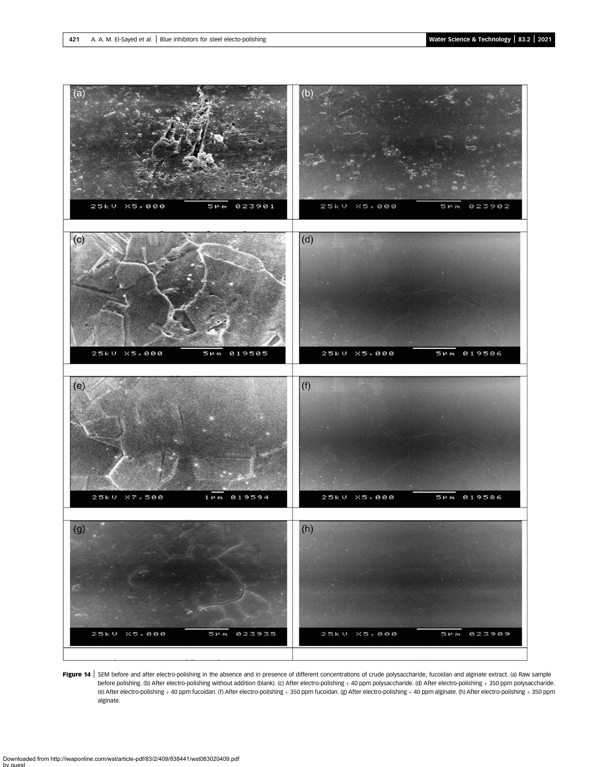<span id="page-12-0"></span>

Figure 14 | SEM before and after electro-polishing in the absence and in presence of different concentrations of crude polysaccharide, fucoidan and alginate extract. (a) Raw sample before polishing. (b) After electro-polishing without addition (blank). (c) After electro-polishing + 40 ppm polysaccharide. (d) After electro-polishing + 350 ppm polysaccharide. (e) After electro-polishing + 40 ppm fucoidan. (f) After electro-polishing + 350 ppm fucoidan. (g) After electro-polishing + 40 ppm alginate. (h) After electro-polishing + 350 ppm alginate.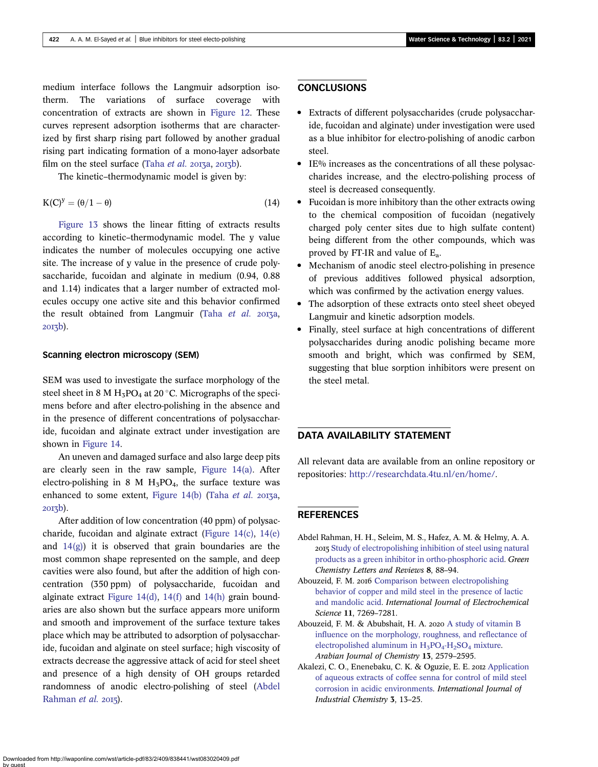<span id="page-13-0"></span>medium interface follows the Langmuir adsorption isotherm. The variations of surface coverage with concentration of extracts are shown in [Figure 12.](#page-10-0) These curves represent adsorption isotherms that are characterized by first sharp rising part followed by another gradual rising part indicating formation of a mono-layer adsorbate film on the steel surface (Taha [et al.](#page-15-0)  $2013a$ ,  $2013b$ ).

The kinetic–thermodynamic model is given by:

$$
K(C)^{y} = (\theta/1 - \theta) \tag{14}
$$

[Figure 13](#page-11-0) shows the linear fitting of extracts results according to kinetic–thermodynamic model. The y value indicates the number of molecules occupying one active site. The increase of y value in the presence of crude polysaccharide, fucoidan and alginate in medium (0.94, 0.88 and 1.14) indicates that a larger number of extracted molecules occupy one active site and this behavior confirmed the result obtained from Langmuir (Taha [et al.](#page-15-0) 2013a,  $20I\overline{3}b$ ).

#### Scanning electron microscopy (SEM)

SEM was used to investigate the surface morphology of the steel sheet in 8 M H<sub>3</sub>PO<sub>4</sub> at 20 °C. Micrographs of the specimens before and after electro-polishing in the absence and in the presence of different concentrations of polysaccharide, fucoidan and alginate extract under investigation are shown in [Figure 14.](#page-12-0)

An uneven and damaged surface and also large deep pits are clearly seen in the raw sample, [Figure 14\(a\)](#page-12-0). After electro-polishing in 8 M  $H_3PO_4$ , the surface texture was enhanced to some extent, Figure  $14(b)$  (Taha [et al.](#page-15-0) 2013a, 2013b).

After addition of low concentration (40 ppm) of polysaccharide, fucoidan and alginate extract ([Figure 14\(c\),](#page-12-0) [14\(e\)](#page-12-0) and  $14(g)$ ) it is observed that grain boundaries are the most common shape represented on the sample, and deep cavities were also found, but after the addition of high concentration (350 ppm) of polysaccharide, fucoidan and alginate extract [Figure 14\(d\)](#page-12-0), [14\(f\)](#page-12-0) and [14\(h\)](#page-12-0) grain boundaries are also shown but the surface appears more uniform and smooth and improvement of the surface texture takes place which may be attributed to adsorption of polysaccharide, fucoidan and alginate on steel surface; high viscosity of extracts decrease the aggressive attack of acid for steel sheet and presence of a high density of OH groups retarded randomness of anodic electro-polishing of steel (Abdel Rahman  $et$  al. 2015).

# **CONCLUSIONS**

- Extracts of different polysaccharides (crude polysaccharide, fucoidan and alginate) under investigation were used as a blue inhibitor for electro-polishing of anodic carbon steel.
- IE% increases as the concentrations of all these polysaccharides increase, and the electro-polishing process of steel is decreased consequently.
- Fucoidan is more inhibitory than the other extracts owing to the chemical composition of fucoidan (negatively charged poly center sites due to high sulfate content) being different from the other compounds, which was proved by FT-IR and value of  $E_a$ .
- Mechanism of anodic steel electro-polishing in presence of previous additives followed physical adsorption, which was confirmed by the activation energy values.
- The adsorption of these extracts onto steel sheet obeyed Langmuir and kinetic adsorption models.
- Finally, steel surface at high concentrations of different polysaccharides during anodic polishing became more smooth and bright, which was confirmed by SEM, suggesting that blue sorption inhibitors were present on the steel metal.

# DATA AVAILABILITY STATEMENT

All relevant data are available from an online repository or repositories: [http://researchdata.4tu.nl/en/home/.](http://researchdata.4tu.nl/en/home/)

# **REFERENCES**

- Abdel Rahman, H. H., Seleim, M. S., Hafez, A. M. & Helmy, A. A. [Study of electropolishing inhibition of steel using natural](http://dx.doi.org/10.1080/17518253.2015.1111430) [products as a green inhibitor in ortho-phosphoric acid.](http://dx.doi.org/10.1080/17518253.2015.1111430) Green Chemistry Letters and Reviews 8, 88–94.
- Abouzeid, F. M. 2016 [Comparison between electropolishing](http://dx.doi.org/10.20964/2016.08.20) [behavior of copper and mild steel in the presence of lactic](http://dx.doi.org/10.20964/2016.08.20) [and mandolic acid.](http://dx.doi.org/10.20964/2016.08.20) International Journal of Electrochemical Science 11, 7269–7281.
- Abouzeid, F. M. & Abubshait, H. A. 2020 [A study of vitamin B](http://dx.doi.org/10.1016/j.arabjc.2018.06.011) [influence on the morphology, roughness, and reflectance of](http://dx.doi.org/10.1016/j.arabjc.2018.06.011) electropolished aluminum in  $H_3PO_4-H_2SO_4$  [mixture.](http://dx.doi.org/10.1016/j.arabjc.2018.06.011) Arabian Journal of Chemistry 13, 2579–2595.
- Akalezi, C. O., Enenebaku, C. K. & Oguzie, E. E. 2012 [Application](http://dx.doi.org/10.1186/2228-5547-3-13) [of aqueous extracts of coffee senna for control of mild steel](http://dx.doi.org/10.1186/2228-5547-3-13) [corrosion in acidic environments](http://dx.doi.org/10.1186/2228-5547-3-13). International Journal of Industrial Chemistry 3, 13–25.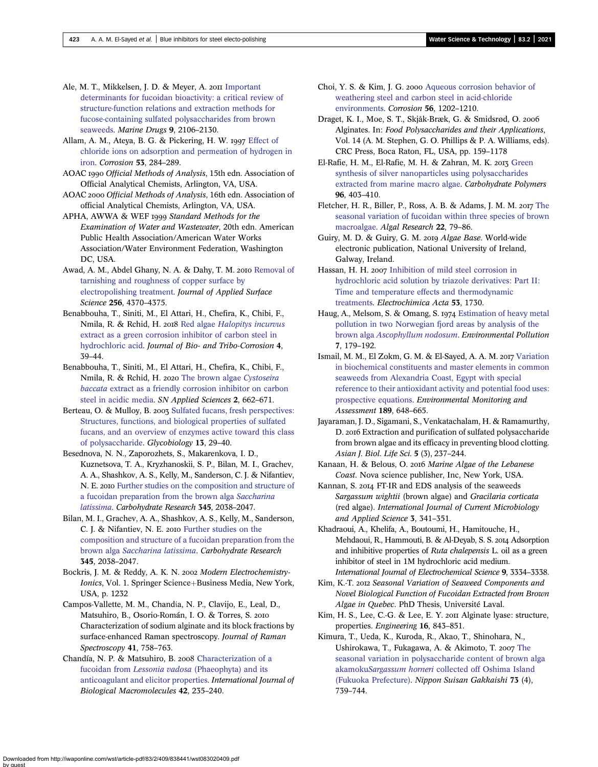<span id="page-14-0"></span>Ale, M. T., Mikkelsen, J. D. & Meyer, A. 2011 [Important](http://dx.doi.org/10.3390/md9102106) [determinants for fucoidan bioactivity: a critical review of](http://dx.doi.org/10.3390/md9102106) [structure-function relations and extraction methods for](http://dx.doi.org/10.3390/md9102106) [fucose-containing sulfated polysaccharides from brown](http://dx.doi.org/10.3390/md9102106) [seaweeds](http://dx.doi.org/10.3390/md9102106). Marine Drugs 9, 2106–2130.

Allam, A. M., Ateva, B. G. & Pickering, H. W. 1997 [Effect of](http://dx.doi.org/10.5006/1.3280469) [chloride ions on adsorption and permeation of hydrogen in](http://dx.doi.org/10.5006/1.3280469) [iron.](http://dx.doi.org/10.5006/1.3280469) Corrosion 53, 284–289.

AOAC 1990 Official Methods of Analysis, 15th edn. Association of Official Analytical Chemists, Arlington, VA, USA.

AOAC 2000 Official Methods of Analysis, 16th edn. Association of official Analytical Chemists, Arlington, VA, USA.

APHA, AWWA & WEF 1999 Standard Methods for the Examination of Water and Wastewater, 20th edn. American Public Health Association/American Water Works Association/Water Environment Federation, Washington DC, USA.

Awad, A. M., Abdel Ghany, N. A. & Dahy, T. M. 2010 [Removal of](http://dx.doi.org/10.1016/j.apsusc.2010.02.033) [tarnishing and roughness of copper surface by](http://dx.doi.org/10.1016/j.apsusc.2010.02.033) [electropolishing treatment.](http://dx.doi.org/10.1016/j.apsusc.2010.02.033) Journal of Applied Surface Science 256, 4370–4375.

Benabbouha, T., Siniti, M., El Attari, H., Chefira, K., Chibi, F., Nmila, R. & Rchid, H. 2018 Red algae [Halopitys incurvus](http://dx.doi.org/10.1007/s40735-018-0161-0) [extract as a green corrosion inhibitor of carbon steel in](http://dx.doi.org/10.1007/s40735-018-0161-0) [hydrochloric acid.](http://dx.doi.org/10.1007/s40735-018-0161-0) Journal of Bio- and Tribo-Corrosion 4, 39–44.

Benabbouha, T., Siniti, M., El Attari, H., Chefira, K., Chibi, F., Nmila, R. & Rchid, H. 2020 [The brown algae](http://dx.doi.org/10.1007/s42452-020-2492-y) Cystoseira baccata [extract as a friendly corrosion inhibitor on carbon](http://dx.doi.org/10.1007/s42452-020-2492-y) [steel in acidic media](http://dx.doi.org/10.1007/s42452-020-2492-y). SN Applied Sciences 2, 662–671.

Berteau, O. & Mulloy, B. 2003 [Sulfated fucans, fresh perspectives:](http://dx.doi.org/10.1093/glycob/cwg058) [Structures, functions, and biological properties of sulfated](http://dx.doi.org/10.1093/glycob/cwg058) [fucans, and an overview of enzymes active toward this class](http://dx.doi.org/10.1093/glycob/cwg058) [of polysaccharide](http://dx.doi.org/10.1093/glycob/cwg058). Glycobiology 13, 29–40.

Besednova, N. N., Zaporozhets, S., Makarenkova, I. D., Kuznetsova, T. A., Kryzhanoskii, S. P., Bilan, M. I., Grachev, A. A., Shashkov, A. S., Kelly, M., Sanderson, C. J. & Nifantiev, N. E. 2010 [Further studies on the composition and structure of](http://dx.doi.org/10.1016/j.carres.2010.07.009) [a fucoidan preparation from the brown alga](http://dx.doi.org/10.1016/j.carres.2010.07.009) Saccharina [latissima](http://dx.doi.org/10.1016/j.carres.2010.07.009). Carbohydrate Research 345, 2038–2047.

Bilan, M. I., Grachev, A. A., Shashkov, A. S., Kelly, M., Sanderson, C. J. & Nifantiev, N. E. 2010 [Further studies on the](http://dx.doi.org/10.1016/j.carres.2010.07.009) [composition and structure of a fucoidan preparation from the](http://dx.doi.org/10.1016/j.carres.2010.07.009) brown alga [Saccharina latissima](http://dx.doi.org/10.1016/j.carres.2010.07.009). Carbohydrate Research 345, 2038–2047.

Bockris, J. M. & Reddy, A. K. N. 2002 Modern Electrochemistry-Ionics, Vol. 1. Springer Science+Business Media, New York, USA, p. 1232

Campos-Vallette, M. M., Chandίa, N. P., Clavijo, E., Leal, D., Matsuhiro, B., Osorio-Román, I. O. & Torres, S. Characterization of sodium alginate and its block fractions by surface-enhanced Raman spectroscopy. Journal of Raman Spectroscopy 41, 758–763.

Chandía, N. P. & Matsuhiro, B. 2008 [Characterization of a](http://dx.doi.org/10.1016/j.ijbiomac.2007.10.023) fucoidan from Lessonia vadosa [\(Phaeophyta\) and its](http://dx.doi.org/10.1016/j.ijbiomac.2007.10.023) [anticoagulant and elicitor properties.](http://dx.doi.org/10.1016/j.ijbiomac.2007.10.023) International Journal of Biological Macromolecules 42, 235–240.

Choi, Y. S. & Kim, J. G. 2000 [Aqueous corrosion behavior of](http://dx.doi.org/10.5006/1.3280508) [weathering steel and carbon steel in acid-chloride](http://dx.doi.org/10.5006/1.3280508) [environments](http://dx.doi.org/10.5006/1.3280508). Corrosion 56, 1202–1210.

Draget, K. I., Moe, S. T., Skjåk-Bræk, G. & Smidsrød, O. Alginates. In: Food Polysaccharides and their Applications, Vol. 14 (A. M. Stephen, G. O. Phillips & P. A. Williams, eds). CRC Press, Boca Raton, FL, USA, pp. 159–1178

El-Rafie, H. M., El-Rafie, M. H. & Zahran, M. K. 2013 [Green](http://dx.doi.org/10.1016/j.carbpol.2013.03.071) [synthesis of silver nanoparticles using polysaccharides](http://dx.doi.org/10.1016/j.carbpol.2013.03.071) [extracted from marine macro algae](http://dx.doi.org/10.1016/j.carbpol.2013.03.071). Carbohydrate Polymers 96, 403–410.

Fletcher, H. R., Biller, P., Ross, A. B. & Adams, J. M. M. 2017 [The](http://dx.doi.org/10.1016/j.algal.2016.10.015) [seasonal variation of fucoidan within three species of brown](http://dx.doi.org/10.1016/j.algal.2016.10.015) [macroalgae](http://dx.doi.org/10.1016/j.algal.2016.10.015). Algal Research 22, 79–86.

Guiry, M. D. & Guiry, G. M. 2019 Algae Base. World-wide electronic publication, National University of Ireland, Galway, Ireland.

Hassan, H. H. 2007 [Inhibition of mild steel corrosion in](http://dx.doi.org/10.1016/j.electacta.2007.08.021) [hydrochloric acid solution by triazole derivatives: Part II:](http://dx.doi.org/10.1016/j.electacta.2007.08.021) [Time and temperature effects and thermodynamic](http://dx.doi.org/10.1016/j.electacta.2007.08.021) [treatments.](http://dx.doi.org/10.1016/j.electacta.2007.08.021) Electrochimica Acta 53, 1730.

Haug, A., Melsom, S. & Omang, S. 1974 [Estimation of heavy metal](http://dx.doi.org/10.1016/0013-9327(74)90065-2) [pollution in two Norwegian fjord areas by analysis of the](http://dx.doi.org/10.1016/0013-9327(74)90065-2) brown alga [Ascophyllum nodosum](http://dx.doi.org/10.1016/0013-9327(74)90065-2). Environmental Pollution 7, 179–192.

Ismail, M. M., El Zokm, G. M. & El-Sayed, A. A. M. 2017 [Variation](http://dx.doi.org/10.1007/s10661-017-6366-8) [in biochemical constituents and master elements in common](http://dx.doi.org/10.1007/s10661-017-6366-8) [seaweeds from Alexandria Coast, Egypt with special](http://dx.doi.org/10.1007/s10661-017-6366-8) [reference to their antioxidant activity and potential food uses:](http://dx.doi.org/10.1007/s10661-017-6366-8) [prospective equations](http://dx.doi.org/10.1007/s10661-017-6366-8). Environmental Monitoring and Assessment 189, 648–665.

Jayaraman, J. D., Sigamani, S., Venkatachalam, H. & Ramamurthy, D. 2016 Extraction and purification of sulfated polysaccharide from brown algae and its efficacy in preventing blood clotting. Asian J. Biol. Life Sci. 5 (3), 237–244.

Kanaan, H. & Belous, O. 2016 Marine Algae of the Lebanese Coast. Nova science publisher, Inc, New York, USA.

Kannan, S. 2014 FT-IR and EDS analysis of the seaweeds Sargassum wightii (brown algae) and Gracilaria corticata (red algae). International Journal of Current Microbiology and Applied Science 3, 341–351.

Khadraoui, A., Khelifa, A., Boutoumi, H., Hamitouche, H., Mehdaoui, R., Hammouti, B. & Al-Deyab, S. S. 2014 Adsorption and inhibitive properties of Ruta chalepensis L. oil as a green inhibitor of steel in 1M hydrochloric acid medium. International Journal of Electrochemical Science 9, 3334–3338.

Kim, K.-T. 2012 Seasonal Variation of Seaweed Components and Novel Biological Function of Fucoidan Extracted from Brown Algae in Quebec. PhD Thesis, Université Laval.

Kim, H. S., Lee, C.-G. & Lee, E. Y. 2011 Alginate lyase: structure, properties. Engineering 16, 843–851.

Kimura, T., Ueda, K., Kuroda, R., Akao, T., Shinohara, N., Ushirokawa, T., Fukagawa, A. & Akimoto, T. 2007 [The](http://dx.doi.org/10.2331/suisan.73.739) [seasonal variation in polysaccharide content of brown alga](http://dx.doi.org/10.2331/suisan.73.739) akamokuSargassum horneri [collected off Oshima Island](http://dx.doi.org/10.2331/suisan.73.739) [\(Fukuoka Prefecture\).](http://dx.doi.org/10.2331/suisan.73.739) Nippon Suisan Gakkaishi 73 (4), 739–744.